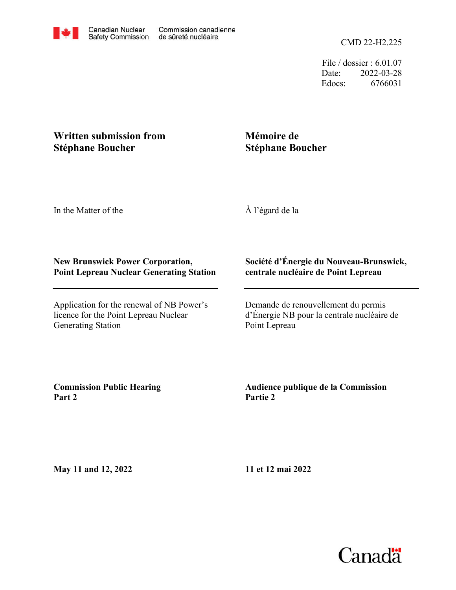File / dossier : 6.01.07 Date: 2022-03-28 Edocs: 6766031

## **Written submission from Stéphane Boucher**

# **Mémoire de Stéphane Boucher**

In the Matter of the

À l'égard de la

#### **New Brunswick Power Corporation, Point Lepreau Nuclear Generating Station**

Application for the renewal of NB Power's licence for the Point Lepreau Nuclear Generating Station

#### **Société d'Énergie du Nouveau-Brunswick, centrale nucléaire de Point Lepreau**

Demande de renouvellement du permis d'Énergie NB pour la centrale nucléaire de Point Lepreau

**Commission Public Hearing Part 2**

### **Audience publique de la Commission Partie 2**

**May 11 and 12, 2022**

**11 et 12 mai 2022**

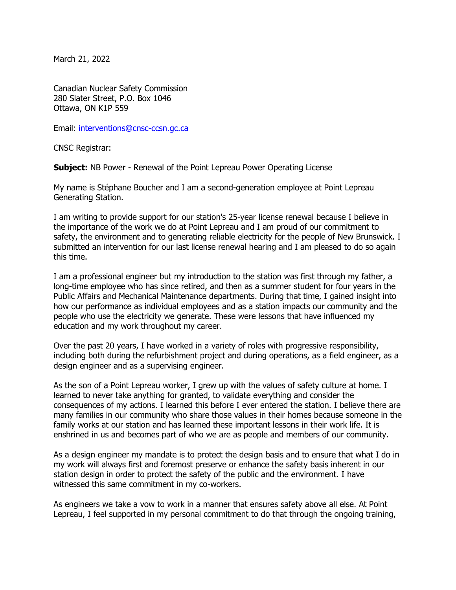March 21, 2022

Canadian Nuclear Safety Commission 280 Slater Street, P.O. Box 1046 Ottawa, ON K1P 559

Email: [interventions@cnsc-ccsn.gc.ca](mailto:interventions@cnsc-ccsn.gc.ca)

CNSC Registrar:

**Subject:** NB Power - Renewal of the Point Lepreau Power Operating License

My name is Stéphane Boucher and I am a second-generation employee at Point Lepreau Generating Station.

I am writing to provide support for our station's 25-year license renewal because I believe in the importance of the work we do at Point Lepreau and I am proud of our commitment to safety, the environment and to generating reliable electricity for the people of New Brunswick. I submitted an intervention for our last license renewal hearing and I am pleased to do so again this time.

I am a professional engineer but my introduction to the station was first through my father, a long-time employee who has since retired, and then as a summer student for four years in the Public Affairs and Mechanical Maintenance departments. During that time, I gained insight into how our performance as individual employees and as a station impacts our community and the people who use the electricity we generate. These were lessons that have influenced my education and my work throughout my career.

Over the past 20 years, I have worked in a variety of roles with progressive responsibility, including both during the refurbishment project and during operations, as a field engineer, as a design engineer and as a supervising engineer.

As the son of a Point Lepreau worker, I grew up with the values of safety culture at home. I learned to never take anything for granted, to validate everything and consider the consequences of my actions. I learned this before I ever entered the station. I believe there are many families in our community who share those values in their homes because someone in the family works at our station and has learned these important lessons in their work life. It is enshrined in us and becomes part of who we are as people and members of our community.

As a design engineer my mandate is to protect the design basis and to ensure that what I do in my work will always first and foremost preserve or enhance the safety basis inherent in our station design in order to protect the safety of the public and the environment. I have witnessed this same commitment in my co-workers.

As engineers we take a vow to work in a manner that ensures safety above all else. At Point Lepreau, I feel supported in my personal commitment to do that through the ongoing training,